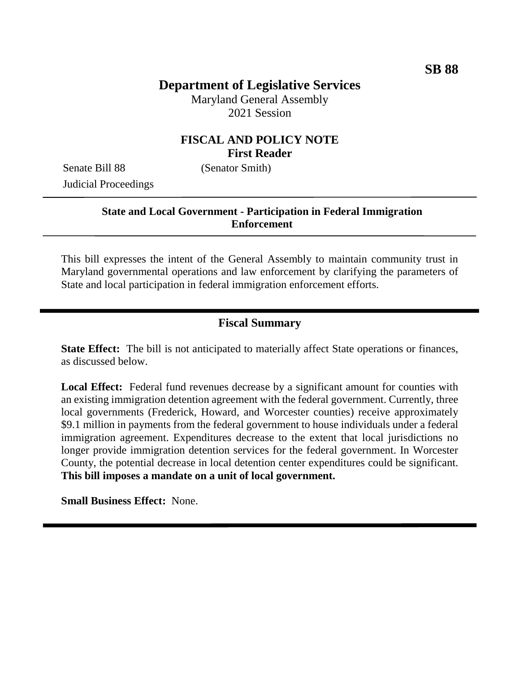# **Department of Legislative Services**

Maryland General Assembly 2021 Session

## **FISCAL AND POLICY NOTE First Reader**

Senate Bill 88 (Senator Smith) Judicial Proceedings

## **State and Local Government - Participation in Federal Immigration Enforcement**

This bill expresses the intent of the General Assembly to maintain community trust in Maryland governmental operations and law enforcement by clarifying the parameters of State and local participation in federal immigration enforcement efforts.

## **Fiscal Summary**

**State Effect:** The bill is not anticipated to materially affect State operations or finances, as discussed below.

**Local Effect:** Federal fund revenues decrease by a significant amount for counties with an existing immigration detention agreement with the federal government. Currently, three local governments (Frederick, Howard, and Worcester counties) receive approximately \$9.1 million in payments from the federal government to house individuals under a federal immigration agreement. Expenditures decrease to the extent that local jurisdictions no longer provide immigration detention services for the federal government. In Worcester County, the potential decrease in local detention center expenditures could be significant. **This bill imposes a mandate on a unit of local government.**

**Small Business Effect:** None.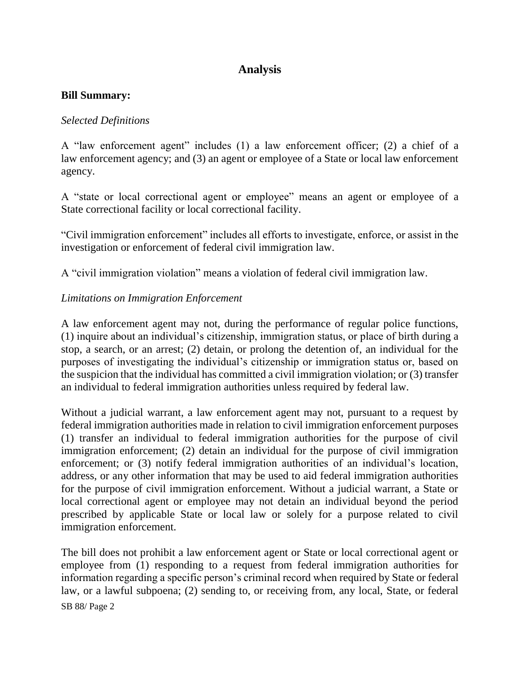# **Analysis**

#### **Bill Summary:**

#### *Selected Definitions*

A "law enforcement agent" includes (1) a law enforcement officer; (2) a chief of a law enforcement agency; and (3) an agent or employee of a State or local law enforcement agency.

A "state or local correctional agent or employee" means an agent or employee of a State correctional facility or local correctional facility.

"Civil immigration enforcement" includes all efforts to investigate, enforce, or assist in the investigation or enforcement of federal civil immigration law.

A "civil immigration violation" means a violation of federal civil immigration law.

#### *Limitations on Immigration Enforcement*

A law enforcement agent may not, during the performance of regular police functions, (1) inquire about an individual's citizenship, immigration status, or place of birth during a stop, a search, or an arrest; (2) detain, or prolong the detention of, an individual for the purposes of investigating the individual's citizenship or immigration status or, based on the suspicion that the individual has committed a civil immigration violation; or (3) transfer an individual to federal immigration authorities unless required by federal law.

Without a judicial warrant, a law enforcement agent may not, pursuant to a request by federal immigration authorities made in relation to civil immigration enforcement purposes (1) transfer an individual to federal immigration authorities for the purpose of civil immigration enforcement; (2) detain an individual for the purpose of civil immigration enforcement; or (3) notify federal immigration authorities of an individual's location, address, or any other information that may be used to aid federal immigration authorities for the purpose of civil immigration enforcement. Without a judicial warrant, a State or local correctional agent or employee may not detain an individual beyond the period prescribed by applicable State or local law or solely for a purpose related to civil immigration enforcement.

The bill does not prohibit a law enforcement agent or State or local correctional agent or employee from (1) responding to a request from federal immigration authorities for information regarding a specific person's criminal record when required by State or federal law, or a lawful subpoena; (2) sending to, or receiving from, any local, State, or federal

SB 88/ Page 2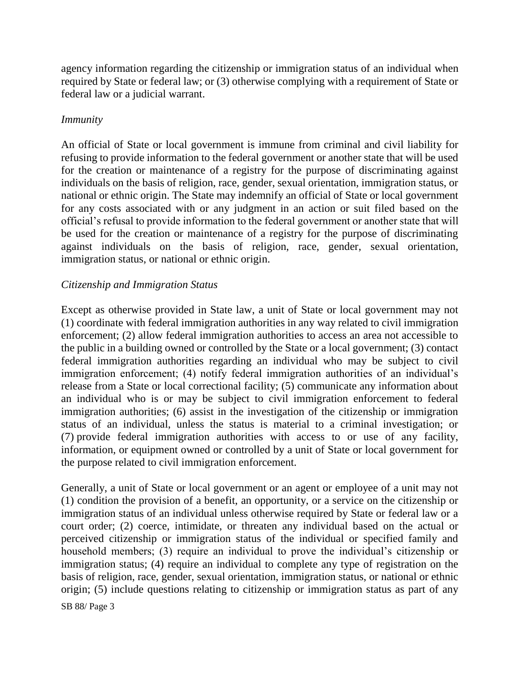agency information regarding the citizenship or immigration status of an individual when required by State or federal law; or (3) otherwise complying with a requirement of State or federal law or a judicial warrant.

#### *Immunity*

An official of State or local government is immune from criminal and civil liability for refusing to provide information to the federal government or another state that will be used for the creation or maintenance of a registry for the purpose of discriminating against individuals on the basis of religion, race, gender, sexual orientation, immigration status, or national or ethnic origin. The State may indemnify an official of State or local government for any costs associated with or any judgment in an action or suit filed based on the official's refusal to provide information to the federal government or another state that will be used for the creation or maintenance of a registry for the purpose of discriminating against individuals on the basis of religion, race, gender, sexual orientation, immigration status, or national or ethnic origin.

#### *Citizenship and Immigration Status*

Except as otherwise provided in State law, a unit of State or local government may not (1) coordinate with federal immigration authorities in any way related to civil immigration enforcement; (2) allow federal immigration authorities to access an area not accessible to the public in a building owned or controlled by the State or a local government; (3) contact federal immigration authorities regarding an individual who may be subject to civil immigration enforcement; (4) notify federal immigration authorities of an individual's release from a State or local correctional facility; (5) communicate any information about an individual who is or may be subject to civil immigration enforcement to federal immigration authorities; (6) assist in the investigation of the citizenship or immigration status of an individual, unless the status is material to a criminal investigation; or (7) provide federal immigration authorities with access to or use of any facility, information, or equipment owned or controlled by a unit of State or local government for the purpose related to civil immigration enforcement.

Generally, a unit of State or local government or an agent or employee of a unit may not (1) condition the provision of a benefit, an opportunity, or a service on the citizenship or immigration status of an individual unless otherwise required by State or federal law or a court order; (2) coerce, intimidate, or threaten any individual based on the actual or perceived citizenship or immigration status of the individual or specified family and household members; (3) require an individual to prove the individual's citizenship or immigration status; (4) require an individual to complete any type of registration on the basis of religion, race, gender, sexual orientation, immigration status, or national or ethnic origin; (5) include questions relating to citizenship or immigration status as part of any

SB 88/ Page 3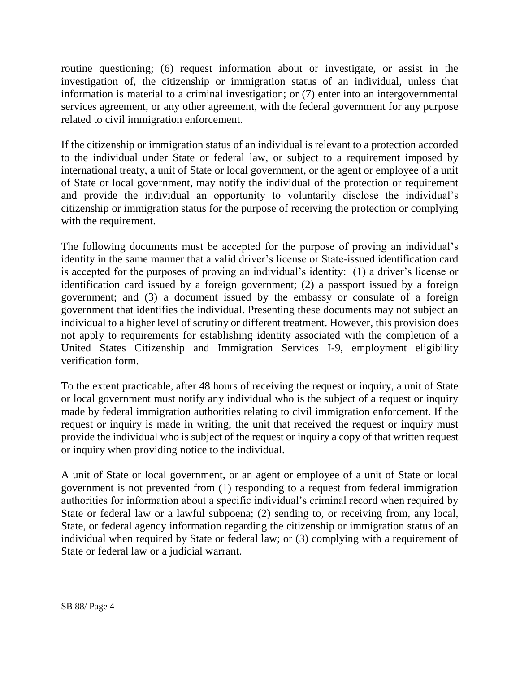routine questioning; (6) request information about or investigate, or assist in the investigation of, the citizenship or immigration status of an individual, unless that information is material to a criminal investigation; or (7) enter into an intergovernmental services agreement, or any other agreement, with the federal government for any purpose related to civil immigration enforcement.

If the citizenship or immigration status of an individual is relevant to a protection accorded to the individual under State or federal law, or subject to a requirement imposed by international treaty, a unit of State or local government, or the agent or employee of a unit of State or local government, may notify the individual of the protection or requirement and provide the individual an opportunity to voluntarily disclose the individual's citizenship or immigration status for the purpose of receiving the protection or complying with the requirement.

The following documents must be accepted for the purpose of proving an individual's identity in the same manner that a valid driver's license or State-issued identification card is accepted for the purposes of proving an individual's identity: (1) a driver's license or identification card issued by a foreign government; (2) a passport issued by a foreign government; and (3) a document issued by the embassy or consulate of a foreign government that identifies the individual. Presenting these documents may not subject an individual to a higher level of scrutiny or different treatment. However, this provision does not apply to requirements for establishing identity associated with the completion of a United States Citizenship and Immigration Services I-9, employment eligibility verification form.

To the extent practicable, after 48 hours of receiving the request or inquiry, a unit of State or local government must notify any individual who is the subject of a request or inquiry made by federal immigration authorities relating to civil immigration enforcement. If the request or inquiry is made in writing, the unit that received the request or inquiry must provide the individual who is subject of the request or inquiry a copy of that written request or inquiry when providing notice to the individual.

A unit of State or local government, or an agent or employee of a unit of State or local government is not prevented from (1) responding to a request from federal immigration authorities for information about a specific individual's criminal record when required by State or federal law or a lawful subpoena; (2) sending to, or receiving from, any local, State, or federal agency information regarding the citizenship or immigration status of an individual when required by State or federal law; or (3) complying with a requirement of State or federal law or a judicial warrant.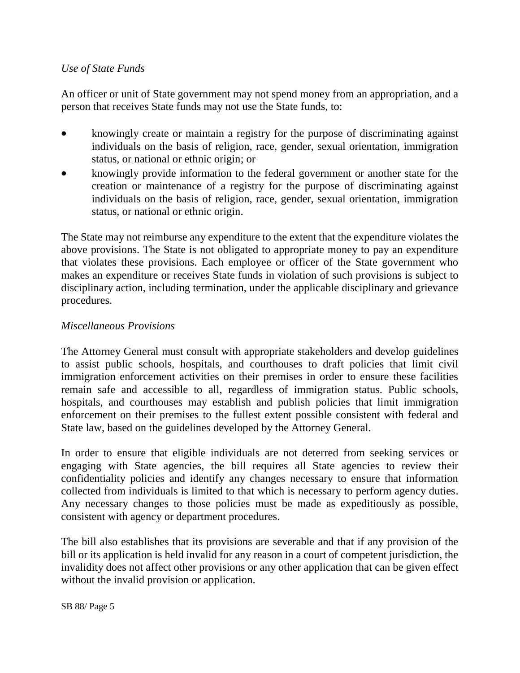## *Use of State Funds*

An officer or unit of State government may not spend money from an appropriation, and a person that receives State funds may not use the State funds, to:

- knowingly create or maintain a registry for the purpose of discriminating against individuals on the basis of religion, race, gender, sexual orientation, immigration status, or national or ethnic origin; or
- knowingly provide information to the federal government or another state for the creation or maintenance of a registry for the purpose of discriminating against individuals on the basis of religion, race, gender, sexual orientation, immigration status, or national or ethnic origin.

The State may not reimburse any expenditure to the extent that the expenditure violates the above provisions. The State is not obligated to appropriate money to pay an expenditure that violates these provisions. Each employee or officer of the State government who makes an expenditure or receives State funds in violation of such provisions is subject to disciplinary action, including termination, under the applicable disciplinary and grievance procedures.

## *Miscellaneous Provisions*

The Attorney General must consult with appropriate stakeholders and develop guidelines to assist public schools, hospitals, and courthouses to draft policies that limit civil immigration enforcement activities on their premises in order to ensure these facilities remain safe and accessible to all, regardless of immigration status. Public schools, hospitals, and courthouses may establish and publish policies that limit immigration enforcement on their premises to the fullest extent possible consistent with federal and State law, based on the guidelines developed by the Attorney General.

In order to ensure that eligible individuals are not deterred from seeking services or engaging with State agencies, the bill requires all State agencies to review their confidentiality policies and identify any changes necessary to ensure that information collected from individuals is limited to that which is necessary to perform agency duties. Any necessary changes to those policies must be made as expeditiously as possible, consistent with agency or department procedures.

The bill also establishes that its provisions are severable and that if any provision of the bill or its application is held invalid for any reason in a court of competent jurisdiction, the invalidity does not affect other provisions or any other application that can be given effect without the invalid provision or application.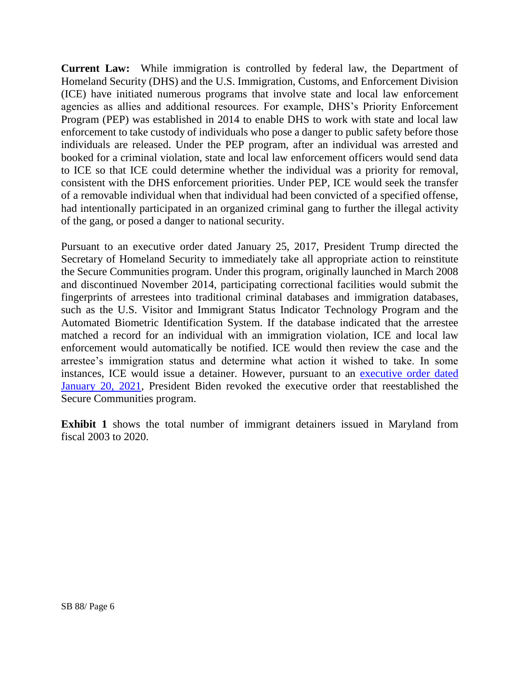**Current Law:** While immigration is controlled by federal law, the Department of Homeland Security (DHS) and the U.S. Immigration, Customs, and Enforcement Division (ICE) have initiated numerous programs that involve state and local law enforcement agencies as allies and additional resources. For example, DHS's Priority Enforcement Program (PEP) was established in 2014 to enable DHS to work with state and local law enforcement to take custody of individuals who pose a danger to public safety before those individuals are released. Under the PEP program, after an individual was arrested and booked for a criminal violation, state and local law enforcement officers would send data to ICE so that ICE could determine whether the individual was a priority for removal, consistent with the DHS enforcement priorities. Under PEP, ICE would seek the transfer of a removable individual when that individual had been convicted of a specified offense, had intentionally participated in an organized criminal gang to further the illegal activity of the gang, or posed a danger to national security.

Pursuant to an executive order dated January 25, 2017, President Trump directed the Secretary of Homeland Security to immediately take all appropriate action to reinstitute the Secure Communities program. Under this program, originally launched in March 2008 and discontinued November 2014, participating correctional facilities would submit the fingerprints of arrestees into traditional criminal databases and immigration databases, such as the U.S. Visitor and Immigrant Status Indicator Technology Program and the Automated Biometric Identification System. If the database indicated that the arrestee matched a record for an individual with an immigration violation, ICE and local law enforcement would automatically be notified. ICE would then review the case and the arrestee's immigration status and determine what action it wished to take. In some instances, ICE would issue a detainer. However, pursuant to an [executive order dated](https://www.federalregister.gov/documents/2021/01/25/2021-01768/revision-of-civil-immigration-enforcement-policies-and-priorities)  [January 20, 2021,](https://www.federalregister.gov/documents/2021/01/25/2021-01768/revision-of-civil-immigration-enforcement-policies-and-priorities) President Biden revoked the executive order that reestablished the Secure Communities program.

**Exhibit 1** shows the total number of immigrant detainers issued in Maryland from fiscal 2003 to 2020.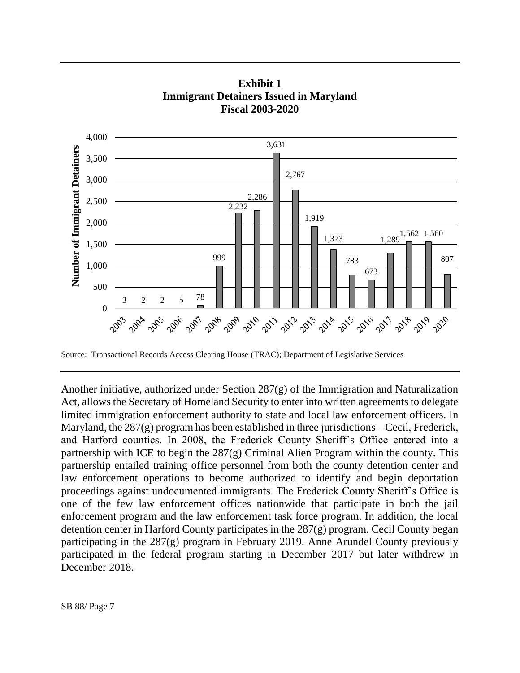

**Exhibit 1 Immigrant Detainers Issued in Maryland Fiscal 2003-2020** 

Source: Transactional Records Access Clearing House (TRAC); Department of Legislative Services

Another initiative, authorized under Section 287(g) of the Immigration and Naturalization Act, allows the Secretary of Homeland Security to enter into written agreements to delegate limited immigration enforcement authority to state and local law enforcement officers. In Maryland, the  $287(g)$  program has been established in three jurisdictions – Cecil, Frederick, and Harford counties. In 2008, the Frederick County Sheriff's Office entered into a partnership with ICE to begin the 287(g) Criminal Alien Program within the county. This partnership entailed training office personnel from both the county detention center and law enforcement operations to become authorized to identify and begin deportation proceedings against undocumented immigrants. The Frederick County Sheriff's Office is one of the few law enforcement offices nationwide that participate in both the jail enforcement program and the law enforcement task force program. In addition, the local detention center in Harford County participates in the 287(g) program. Cecil County began participating in the 287(g) program in February 2019. Anne Arundel County previously participated in the federal program starting in December 2017 but later withdrew in December 2018.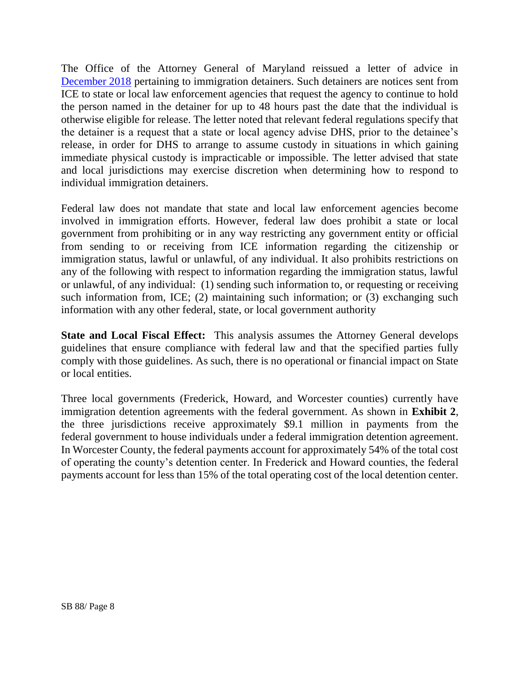The Office of the Attorney General of Maryland reissued a letter of advice in [December](http://www.marylandattorneygeneral.gov/Reports/Immigration_Law_Guidance.pdf) 2018 pertaining to immigration detainers. Such detainers are notices sent from ICE to state or local law enforcement agencies that request the agency to continue to hold the person named in the detainer for up to 48 hours past the date that the individual is otherwise eligible for release. The letter noted that relevant federal regulations specify that the detainer is a request that a state or local agency advise DHS, prior to the detainee's release, in order for DHS to arrange to assume custody in situations in which gaining immediate physical custody is impracticable or impossible. The letter advised that state and local jurisdictions may exercise discretion when determining how to respond to individual immigration detainers.

Federal law does not mandate that state and local law enforcement agencies become involved in immigration efforts. However, federal law does prohibit a state or local government from prohibiting or in any way restricting any government entity or official from sending to or receiving from ICE information regarding the citizenship or immigration status, lawful or unlawful, of any individual. It also prohibits restrictions on any of the following with respect to information regarding the immigration status, lawful or unlawful, of any individual: (1) sending such information to, or requesting or receiving such information from, ICE; (2) maintaining such information; or (3) exchanging such information with any other federal, state, or local government authority

**State and Local Fiscal Effect:** This analysis assumes the Attorney General develops guidelines that ensure compliance with federal law and that the specified parties fully comply with those guidelines. As such, there is no operational or financial impact on State or local entities.

Three local governments (Frederick, Howard, and Worcester counties) currently have immigration detention agreements with the federal government. As shown in **Exhibit 2**, the three jurisdictions receive approximately \$9.1 million in payments from the federal government to house individuals under a federal immigration detention agreement. In Worcester County, the federal payments account for approximately 54% of the total cost of operating the county's detention center. In Frederick and Howard counties, the federal payments account for less than 15% of the total operating cost of the local detention center.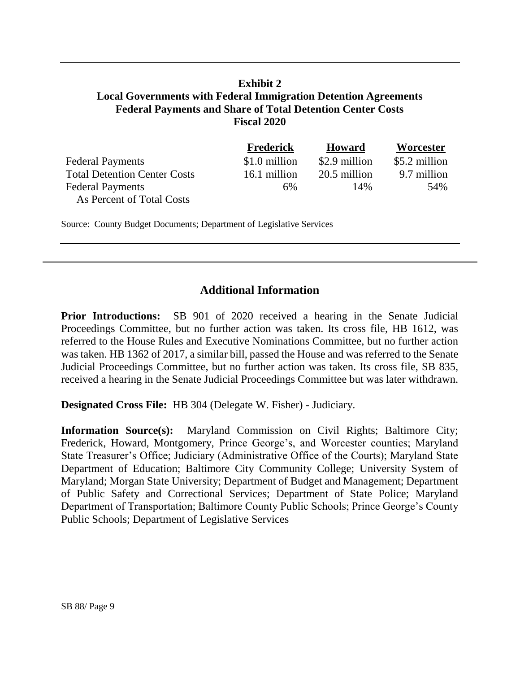# **Exhibit 2 Local Governments with Federal Immigration Detention Agreements Federal Payments and Share of Total Detention Center Costs Fiscal 2020**

|                                     | <b>Frederick</b> | <b>Howard</b> | Worcester     |
|-------------------------------------|------------------|---------------|---------------|
| <b>Federal Payments</b>             | \$1.0 million    | \$2.9 million | \$5.2 million |
| <b>Total Detention Center Costs</b> | 16.1 million     | 20.5 million  | 9.7 million   |
| <b>Federal Payments</b>             | 6%               | 14%           | 54%           |
| As Percent of Total Costs           |                  |               |               |

Source: County Budget Documents; Department of Legislative Services

## **Additional Information**

**Prior Introductions:** SB 901 of 2020 received a hearing in the Senate Judicial Proceedings Committee, but no further action was taken. Its cross file, HB 1612, was referred to the House Rules and Executive Nominations Committee, but no further action was taken. HB 1362 of 2017, a similar bill, passed the House and was referred to the Senate Judicial Proceedings Committee, but no further action was taken. Its cross file, SB 835, received a hearing in the Senate Judicial Proceedings Committee but was later withdrawn.

**Designated Cross File:** HB 304 (Delegate W. Fisher) - Judiciary.

**Information Source(s):** Maryland Commission on Civil Rights; Baltimore City; Frederick, Howard, Montgomery, Prince George's, and Worcester counties; Maryland State Treasurer's Office; Judiciary (Administrative Office of the Courts); Maryland State Department of Education; Baltimore City Community College; University System of Maryland; Morgan State University; Department of Budget and Management; Department of Public Safety and Correctional Services; Department of State Police; Maryland Department of Transportation; Baltimore County Public Schools; Prince George's County Public Schools; Department of Legislative Services

j